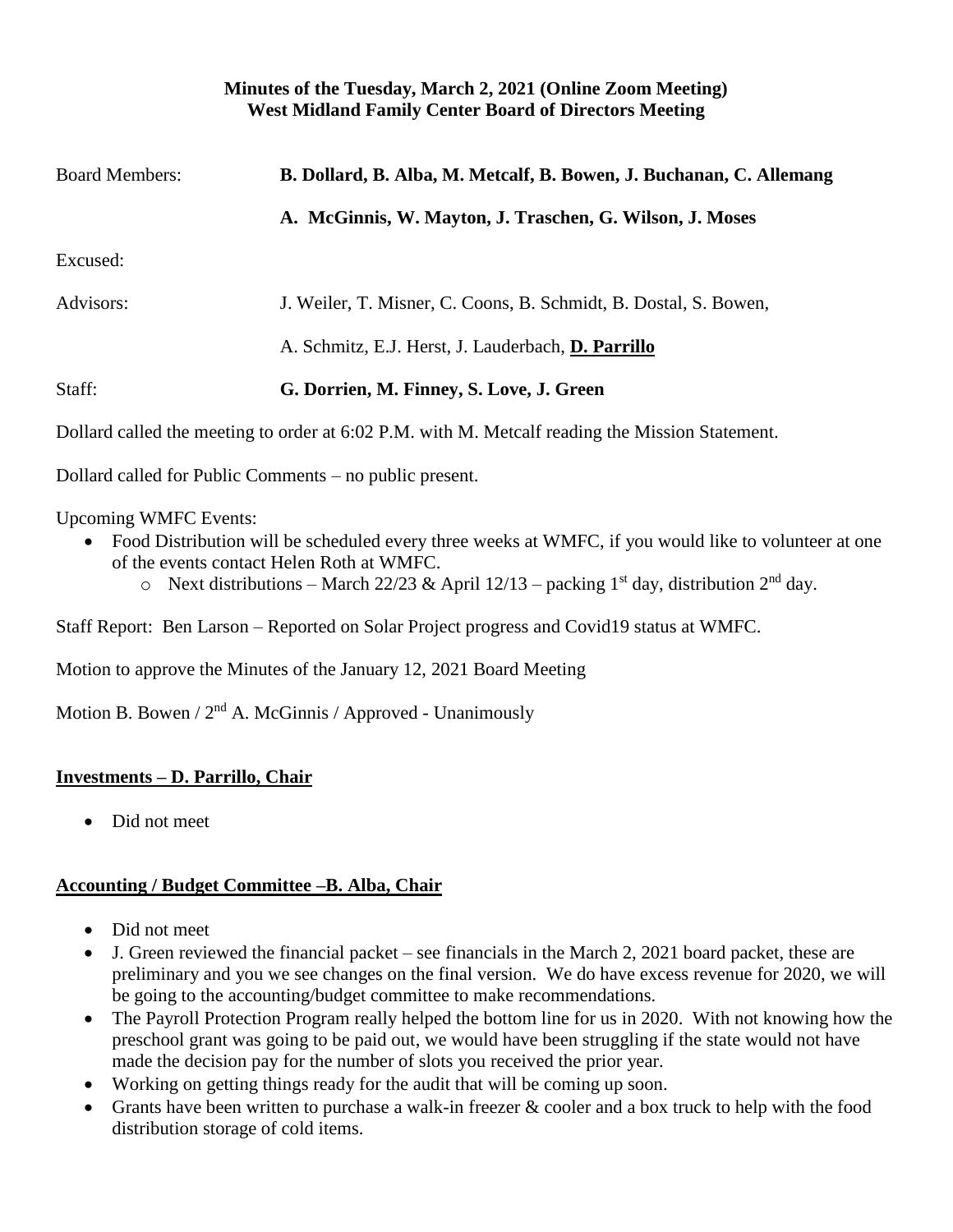#### **Minutes of the Tuesday, March 2, 2021 (Online Zoom Meeting) West Midland Family Center Board of Directors Meeting**

| <b>Board Members:</b> | B. Dollard, B. Alba, M. Metcalf, B. Bowen, J. Buchanan, C. Allemang |
|-----------------------|---------------------------------------------------------------------|
|                       | A. McGinnis, W. Mayton, J. Traschen, G. Wilson, J. Moses            |
| Excused:              |                                                                     |
| Advisors:             | J. Weiler, T. Misner, C. Coons, B. Schmidt, B. Dostal, S. Bowen,    |
|                       | A. Schmitz, E.J. Herst, J. Lauderbach, D. Parrillo                  |
| Staff:                | G. Dorrien, M. Finney, S. Love, J. Green                            |
|                       |                                                                     |

Dollard called the meeting to order at 6:02 P.M. with M. Metcalf reading the Mission Statement.

Dollard called for Public Comments – no public present.

Upcoming WMFC Events:

- Food Distribution will be scheduled every three weeks at WMFC, if you would like to volunteer at one of the events contact Helen Roth at WMFC.
	- o Next distributions March 22/23 & April 12/13 packing 1<sup>st</sup> day, distribution 2<sup>nd</sup> day.

Staff Report: Ben Larson – Reported on Solar Project progress and Covid19 status at WMFC.

Motion to approve the Minutes of the January 12, 2021 Board Meeting

Motion B. Bowen /  $2<sup>nd</sup>$  A. McGinnis / Approved - Unanimously

# **Investments – D. Parrillo, Chair**

• Did not meet

# **Accounting / Budget Committee –B. Alba, Chair**

- Did not meet
- J. Green reviewed the financial packet see financials in the March 2, 2021 board packet, these are preliminary and you we see changes on the final version. We do have excess revenue for 2020, we will be going to the accounting/budget committee to make recommendations.
- The Payroll Protection Program really helped the bottom line for us in 2020. With not knowing how the preschool grant was going to be paid out, we would have been struggling if the state would not have made the decision pay for the number of slots you received the prior year.
- Working on getting things ready for the audit that will be coming up soon.
- Grants have been written to purchase a walk-in freezer  $\&$  cooler and a box truck to help with the food distribution storage of cold items.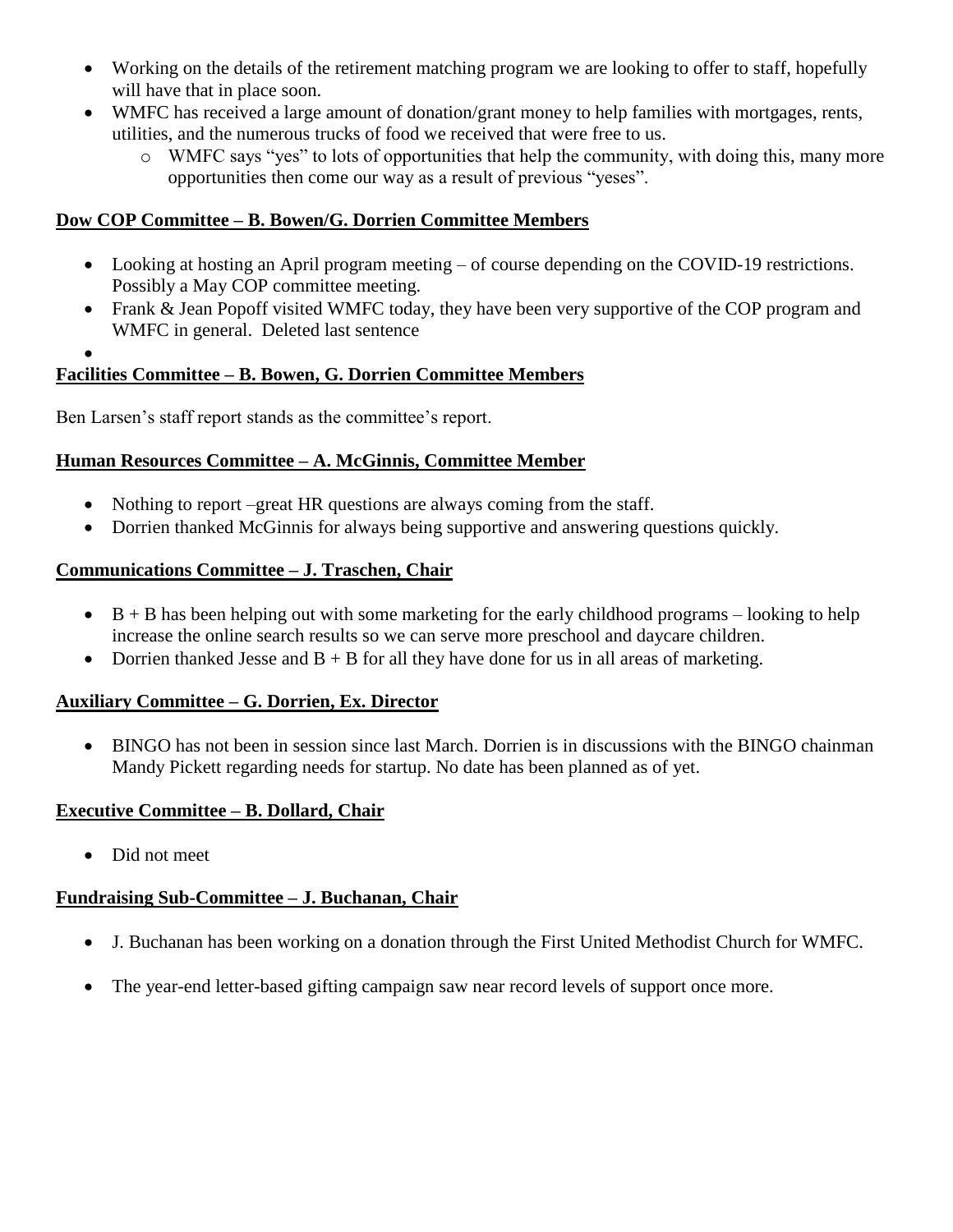- Working on the details of the retirement matching program we are looking to offer to staff, hopefully will have that in place soon.
- WMFC has received a large amount of donation/grant money to help families with mortgages, rents, utilities, and the numerous trucks of food we received that were free to us.
	- o WMFC says "yes" to lots of opportunities that help the community, with doing this, many more opportunities then come our way as a result of previous "yeses".

### **Dow COP Committee – B. Bowen/G. Dorrien Committee Members**

- Looking at hosting an April program meeting of course depending on the COVID-19 restrictions. Possibly a May COP committee meeting.
- Frank & Jean Popoff visited WMFC today, they have been very supportive of the COP program and WMFC in general. Deleted last sentence
- •

# **Facilities Committee – B. Bowen, G. Dorrien Committee Members**

Ben Larsen's staff report stands as the committee's report.

### **Human Resources Committee – A. McGinnis, Committee Member**

- Nothing to report –great HR questions are always coming from the staff.
- Dorrien thanked McGinnis for always being supportive and answering questions quickly.

### **Communications Committee – J. Traschen, Chair**

- $\bullet$  B + B has been helping out with some marketing for the early childhood programs looking to help increase the online search results so we can serve more preschool and daycare children.
- Dorrien thanked Jesse and  $B + B$  for all they have done for us in all areas of marketing.

### **Auxiliary Committee – G. Dorrien, Ex. Director**

• BINGO has not been in session since last March. Dorrien is in discussions with the BINGO chainman Mandy Pickett regarding needs for startup. No date has been planned as of yet.

### **Executive Committee – B. Dollard, Chair**

• Did not meet

### **Fundraising Sub-Committee – J. Buchanan, Chair**

- J. Buchanan has been working on a donation through the First United Methodist Church for WMFC.
- The year-end letter-based gifting campaign saw near record levels of support once more.